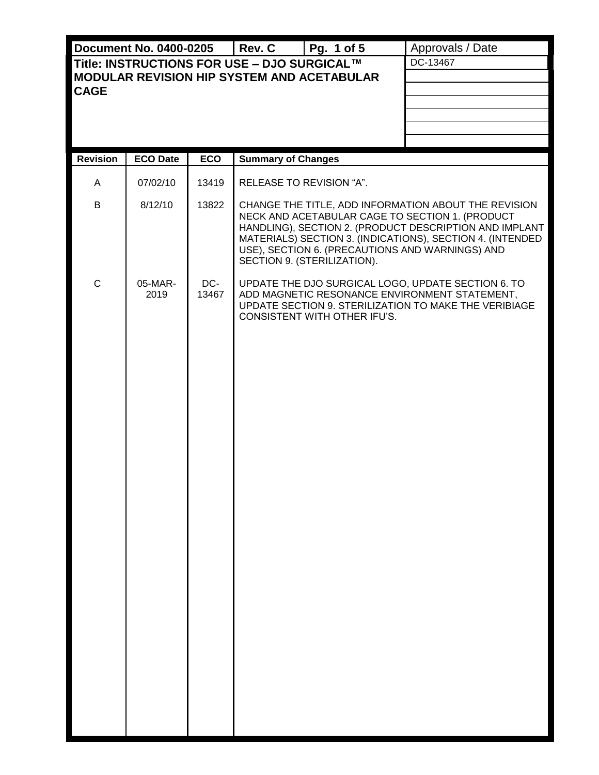|                                                                                           | <b>Document No. 0400-0205</b> |              | Rev. C                    | Pg. 1 of 5                   | Approvals / Date                                                                                                                                                                                                                                                                  |  |  |
|-------------------------------------------------------------------------------------------|-------------------------------|--------------|---------------------------|------------------------------|-----------------------------------------------------------------------------------------------------------------------------------------------------------------------------------------------------------------------------------------------------------------------------------|--|--|
| Title: INSTRUCTIONS FOR USE - DJO SURGICAL™<br>MODULAR REVISION HIP SYSTEM AND ACETABULAR |                               |              |                           |                              | DC-13467                                                                                                                                                                                                                                                                          |  |  |
| <b>CAGE</b>                                                                               |                               |              |                           |                              |                                                                                                                                                                                                                                                                                   |  |  |
|                                                                                           |                               |              |                           |                              |                                                                                                                                                                                                                                                                                   |  |  |
|                                                                                           |                               |              |                           |                              |                                                                                                                                                                                                                                                                                   |  |  |
| <b>Revision</b>                                                                           | <b>ECO Date</b>               | <b>ECO</b>   | <b>Summary of Changes</b> |                              |                                                                                                                                                                                                                                                                                   |  |  |
| A                                                                                         | 07/02/10                      | 13419        | RELEASE TO REVISION "A".  |                              |                                                                                                                                                                                                                                                                                   |  |  |
| B                                                                                         | 8/12/10                       | 13822        |                           | SECTION 9. (STERILIZATION).  | CHANGE THE TITLE, ADD INFORMATION ABOUT THE REVISION<br>NECK AND ACETABULAR CAGE TO SECTION 1. (PRODUCT<br>HANDLING), SECTION 2. (PRODUCT DESCRIPTION AND IMPLANT<br>MATERIALS) SECTION 3. (INDICATIONS), SECTION 4. (INTENDED<br>USE), SECTION 6. (PRECAUTIONS AND WARNINGS) AND |  |  |
| $\mathsf{C}$                                                                              | 05-MAR-<br>2019               | DC-<br>13467 |                           | CONSISTENT WITH OTHER IFU'S. | UPDATE THE DJO SURGICAL LOGO, UPDATE SECTION 6. TO<br>ADD MAGNETIC RESONANCE ENVIRONMENT STATEMENT,<br>UPDATE SECTION 9. STERILIZATION TO MAKE THE VERIBIAGE                                                                                                                      |  |  |
|                                                                                           |                               |              |                           |                              |                                                                                                                                                                                                                                                                                   |  |  |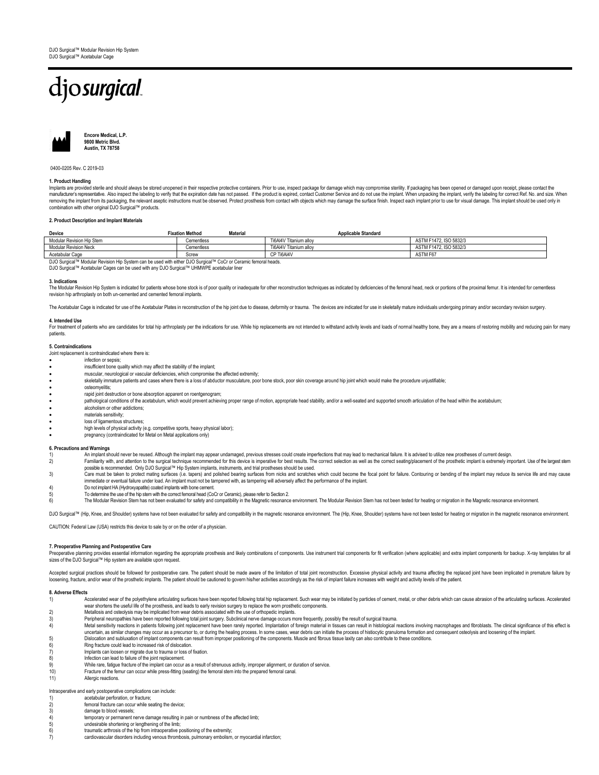# djosurgical



**Encore Medical, L.P. 9800 Metric Blvd. Austin, TX 78758**

0400-0205 Rev. C 2019-03

### **1. Product Handling**

Implants are provided sterile and should always be stored unopened in their respective protective containers. Prior to use, inspect package for damage which may compromise sterility. If packaging has been opened or damaged removing the implant from its packaging, the relevant aseptic instructions must be observed. Protect prosthesis from contact with objects which may damage the surface finish. Inspect each implant prior to use for visual d

### **2. Product Description and Implant Materials**

| Device                                                                                                         | <b>Fixation Method</b><br><b>Material</b> | <b>Applicable Standard</b> |                        |  |
|----------------------------------------------------------------------------------------------------------------|-------------------------------------------|----------------------------|------------------------|--|
| Modular Revision Hip Stem                                                                                      | Cementless                                | Ti6Al4V Titanium allov     | ASTM F1472, ISO 5832/3 |  |
| Modular Revision Neck                                                                                          | Cementless                                | Ti6Al4V Titanium allov     | ASTM F1472, ISO 5832/3 |  |
| Acetabular Cage                                                                                                | Screw                                     | CP Ti6AI4V                 | ASTM F67               |  |
| DJO Surgical™ Modular Revision Hip System can be used with either DJO Surgical™ CoCr or Ceramic femoral heads. |                                           |                            |                        |  |

DJO Surgical™ Acetabular Cages can be used with any DJO Surgical™ UHMWPE acetabular liner

### **3.** Indication

The Modular Revision Hip System is indicated for patients whose bone stock is of poor quality or inadequate for other reconstruction techniques as indicated by deficiencies of the femoral head, neck or portions of the prox revision hip arthroplasty on both un-cemented and cemented femoral implants.

The Acetabular Cage is indicated for use of the Acetabular Plates in reconstruction of the hip joint due to disease, deformity or trauma. The devices are indicated for use in skeletally mature individuals undergoing primar

### **4. Intended Use**

For treatment of patients who are candidates for total hip arthroplasty per the indications for use. While hip replacements are not intended to withstand activity levels and loads of normal healthy bone, they are a means o patients.

### **5. Contraindications**

Joint replacement is contraindicated where there is:

- infection or sepsis;
- insufficient bone quality which may affect the stability of the implant;
- muscular, neurological or vascular deficiencies, which compromise the affected extremity;
- skeletally immature patients and cases where there is a loss of abductor musculature, poor bone stock, poor skin coverage around hip joint which would make the procedure unjustifiable;
- osteomyelitis;
- 
- rapid joint destruction or bone absorption apparent on roentgenogram;<br>● pathological conditions of the acetabulum, which would prevent achieving proper range of motion, appropriate head stability, and/or a wel
- alcoholism or other addictions;
- materials sensitivity;
- loss of ligamentous structures
- high levels of physical activity (e.g. competitive sports, heavy physical labor); pregnancy (contraindicated for Metal on Metal applications only)
- 

### **6. Precautions and Warnings**

- 1) An implant should never be reused. Although the implant may appear undamaged, previous stresses could create imperfections that may lead to mechanical failure. It is advised to utilize new prostheses of current design.<br> Familiarity with, and attention to the surgical technique recommended for this device is imperative for best results. The correct selection as well as the correct seating/placement of the prosthetic implant is extremely im
- possible is recommended. Only DJO Surgical™ Hip System implants, instruments, and trial prostheses should be used.
- 3) Care must be taken to protect mating surfaces (i.e. tapers) and polished bearing surfaces from nicks and scratches which could become the focal point for failure. Contouring or bending of the implant may reduce its serv immediate or eventual failure under load. An implant must not be tampered with, as tampering will adversely affect the performance of the implant.
- 4) Do not implant HA (Hydroxyapatite) coated implants with bone cement.
- 5) To determine the use of the hip stem with the correct femoral head (CoCr or Ceramic), please refer to Section 2.

The Modular Revision Stem has not been evaluated for safety and compatibility in the Magnetic resonance environment. The Modular Revision Stem has not been tested for heating or migration in the Magnetic resonance environm

DJO Surgical<sup>TM</sup> (Hip, Knee, and Shoulder) systems have not been evaluated for safety and compatibility in the magnetic resonance environment. The (Hip, Knee, Shoulder) systems have not been tested for heating or migration

CAUTION: Federal Law (USA) restricts this device to sale by or on the order of a physician.

### **7. Preoperative Planning and Postoperative Care**

Preoperative planning provides essential information regarding the appropriate prosthesis and likely combinations of components. Use instrument trial components for fit verification (where applicable) and extra implant com sizes of the DJO Surgical™ Hip system are available upon request

Accepted surgical practices should be followed for postoperative care. The patient should be made aware of the limitation of total joint reconstruction. Excessive physical activity and trauma affecting the replaced joint h

## **8. Adverse Effects**

- Accelerated wear of the polyethylene articulating surfaces have been reported following total hip replacement. Such wear may be initiated by particles of cement, metal, or other debris which can cause abrasion of the artic wear shortens the useful life of the prosthesis, and leads to early revision surgery to replace the worn prosthetic components.<br>2) Metallosis and osteolysis may be implicated from wear debris associated with the use of ort
- 
- 3) Peripheral neuropathies have been reported following total joint surgery. Subclinical nerve damage occurs more frequently, possibly the result of surgical trauma.
- Metal sensitivity reactions in patients following joint replacement have been rarely reported. Implantation of foreign material in tissues can result in histological reactions involving macrophages and fibroblasts. The cli uncertain, as similar changes may occur as a precursor to, or during the healing process. In some cases, wear debris can initiate the process of histiocytic granuloma formation and consequent osteolysis and loosening of th
- 
- 6) Ring fracture could lead to increased risk of dislocation.
- 7) Implants can loosen or migrate due to trauma or loss of fixation<br>8) Infection can lead to failure of the joint replacement.
- 8) Infection can lead to failure of the joint replacement.<br>9) While rare, fatique fracture of the implant can occur 9) While rare, fatigue fracture of the implant can occur as a result of strenuous activity, improper alignment, or duration of service.<br>10) Fracture of the femur can occur while press-fitting (seating) the femoral stem int
- Fracture of the femur can occur while press-fitting (seating) the femoral stem into the prepared femoral canal

### 11) Allergic reactions.

Intraoperative and early postoperative complications can include:

- 1) acetabular perforation, or fracture;<br>
1) acetabular perforation, or fracture;<br>
2) femoral fracture can occur while see damage to blood vessels; femoral fracture can occur while seating the device:
- 
- 3) damage to blood vessels;<br>4) temporary or permanent n 4) temporary or permanent nerve damage resulting in pain or numbness of the affected limb;<br>5) undesirable shortening or lengthening of the limb;
- 5) undesirable shortening or lengthening of the limb;<br>6) traumatic arthrosis of the hip from intraoperative p
- traumatic arthrosis of the hip from intraoperative positioning of the extremity;
- 7) cardiovascular disorders including venous thrombosis, pulmonary embolism, or myocardial infarction;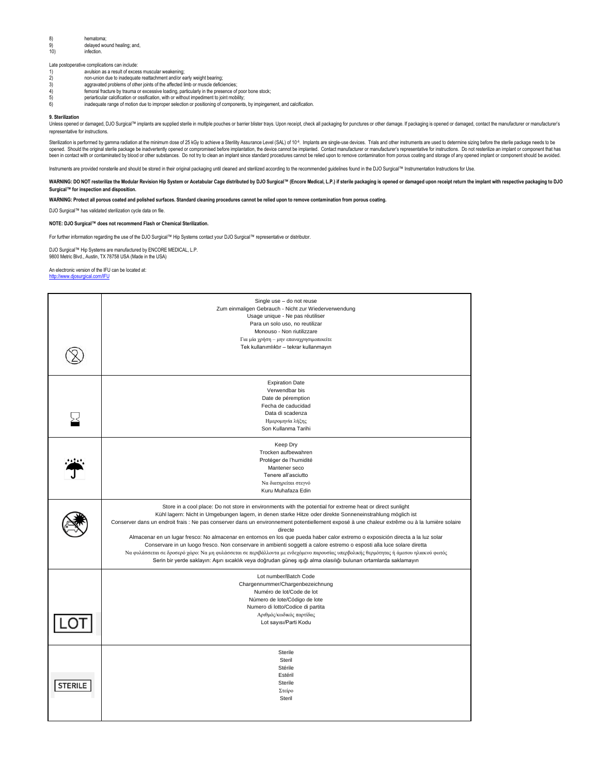### 8) hematoma; 9) delayed wound healing; and,<br>10) infection. infection.

- Late postoperative complications can include:<br>1) avulsion as a result of exces 1) avulsion as a result of excess muscular weakening;<br>2) a mon-union due to inadequate reattachment and/or e
- 
- 2) non-union due to inadequate reattachment and/or early weight bearing;<br>3) aggravated problems of other joints of the affected limb or muscle defici-<br>4) femoral fracture by trauma or excessive loading, particularly in the aggravated problems of other joints of the affected limb or muscle deficiencies;
- 4) femoral fracture by trauma or excessive loading, particularly in the presence of poor bone stock; 5) periarticular calcification or ossification, with or without impediment to joint mobility;
- 5) periarticular calcification or ossification, with or without impediment to joint mobility;<br>6) inadequate range of motion due to improper selection or positioning of components, by impingement, and calcification.
- 

### **9. Sterilization**

Unless opened or damaged, DJO Surgical™ implants are supplied sterile in multiple pouches or barrier blister trays. Upon receipt, check all packaging for punctures or other damage. If packaging is opened or damaged, contact the manufacturer or manufacturer's representative for instructions.

Sterilization is performed by gamma radiation at the minimum dose of 25 kGy to achieve a Sterility Assurance Level (SAL) of 10<sup>6</sup>. Implants are single-use devices. Trials and other instruments are used to determine sizing opened. Should the original sterile package be inadvertently opened or compromised before implantation, the device cannot be implantate. Contact manufacturer or manufacturer's representative for instructions. Do not rester

Instruments are provided nonsterile and should be stored in their original packaging until cleaned and sterilized according to the recommended quidelines found in the DJO Surgical™ Instrumentation Instructions for Use.

WARNING: DO NOT resterilize the Modular Revision Hip System or Acetabular Cage distributed by DJO Surgical™ (Encore Medical, L.P.) if sterile packaging is opened or damaged upon receipt return the implant with respective p **Surgical™ for inspection and disposition.**

**WARNING: Protect all porous coated and polished surfaces. Standard cleaning procedures cannot be relied upon to remove contamination from porous coating.**

DJO Surgical™ has validated sterilization cycle data on file.

### **NOTE: DJO Surgical™ does not recommend Flash or Chemical Sterilization.**

For further information regarding the use of the DJO Surgical™ Hip Systems contact your DJO Surgical™ representative or distributor.

DJO Surgical™ Hip Systems are manufactured by ENCORE MEDICAL, L.P. 9800 Metric Blvd., Austin, TX 78758 USA (Made in the USA)

### An electronic version of the IFU can be located at:

### <http://www.djosurgical.com/IFU>

|                | Single use - do not reuse<br>Zum einmaligen Gebrauch - Nicht zur Wiederverwendung<br>Usage unique - Ne pas réutiliser<br>Para un solo uso, no reutilizar<br>Monouso - Non riutilizzare<br>Για μία χρήση - μην επαναχρησιμοποιείτε<br>Tek kullanımlıktır - tekrar kullanmayın                                                                                                                                                                                                                                                                                                                                                                                                                                                                                                                                                                                                                                  |
|----------------|---------------------------------------------------------------------------------------------------------------------------------------------------------------------------------------------------------------------------------------------------------------------------------------------------------------------------------------------------------------------------------------------------------------------------------------------------------------------------------------------------------------------------------------------------------------------------------------------------------------------------------------------------------------------------------------------------------------------------------------------------------------------------------------------------------------------------------------------------------------------------------------------------------------|
|                | <b>Expiration Date</b><br>Verwendbar bis<br>Date de péremption<br>Fecha de caducidad<br>Data di scadenza<br>Ημερομηνία λήξης<br>Son Kullanma Tarihi                                                                                                                                                                                                                                                                                                                                                                                                                                                                                                                                                                                                                                                                                                                                                           |
|                | Keep Dry<br>Trocken aufbewahren<br>Protéger de l'humidité<br>Mantener seco<br>Tenere all'asciutto<br>Να διατηρείται στεγνό<br>Kuru Muhafaza Edin                                                                                                                                                                                                                                                                                                                                                                                                                                                                                                                                                                                                                                                                                                                                                              |
|                | Store in a cool place: Do not store in environments with the potential for extreme heat or direct sunlight<br>Kühl lagern: Nicht in Umgebungen lagern, in denen starke Hitze oder direkte Sonneneinstrahlung möglich ist<br>Conserver dans un endroit frais : Ne pas conserver dans un environnement potentiellement exposé à une chaleur extrême ou à la lumière solaire<br>directe<br>Almacenar en un lugar fresco: No almacenar en entornos en los que pueda haber calor extremo o exposición directa a la luz solar<br>Conservare in un luogo fresco. Non conservare in ambienti soggetti a calore estremo o esposti alla luce solare diretta<br>Να φυλάσσεται σε δροσερό χώρο: Να μη φυλάσσεται σε περιβάλλοντα με ενδεχόμενο παρουσίας υπερβολικής θερμότητας ή άμεσου ηλιακού φωτός<br>Serin bir yerde saklayın: Aşırı sıcaklık veya doğrudan güneş ışığı alma olasılığı bulunan ortamlarda saklamayın |
|                | Lot number/Batch Code<br>Chargennummer/Chargenbezeichnung<br>Numéro de lot/Code de lot<br>Número de lote/Código de lote<br>Numero di lotto/Codice di partita<br>Αριθμός/κωδικός παρτίδας<br>Lot sayısı/Parti Kodu                                                                                                                                                                                                                                                                                                                                                                                                                                                                                                                                                                                                                                                                                             |
| <b>STERILE</b> | Sterile<br>Steril<br>Stérile<br>Estéril<br>Sterile<br>Στείρο<br>Steril                                                                                                                                                                                                                                                                                                                                                                                                                                                                                                                                                                                                                                                                                                                                                                                                                                        |